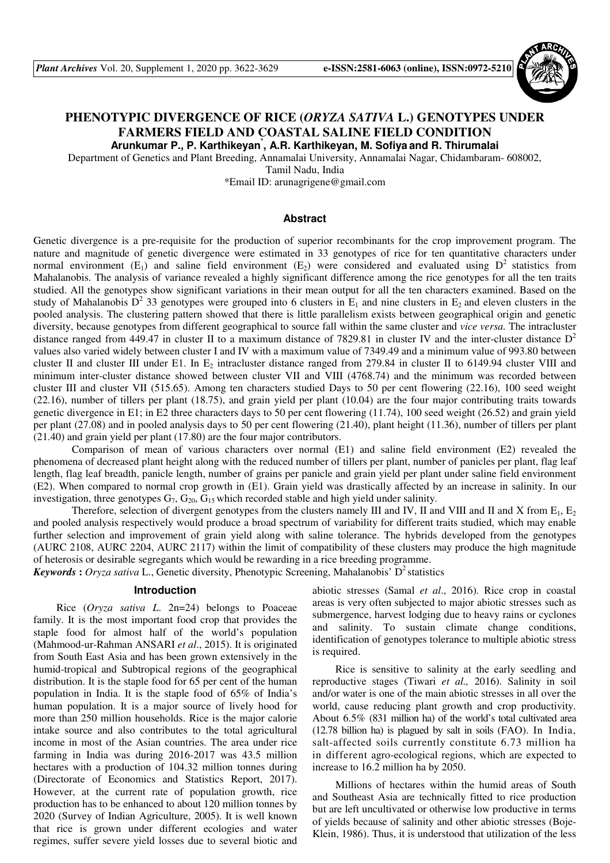

# **PHENOTYPIC DIVERGENCE OF RICE (***ORYZA SATIVA* **L.) GENOTYPES UNDER FARMERS FIELD AND COASTAL SALINE FIELD CONDITION Arunkumar P., P. Karthikeyan\* , A.R. Karthikeyan, M. Sofiya and R. Thirumalai**

Department of Genetics and Plant Breeding, Annamalai University, Annamalai Nagar, Chidambaram- 608002,

Tamil Nadu, India

\*Email ID: arunagrigene@gmail.com

## **Abstract**

Genetic divergence is a pre-requisite for the production of superior recombinants for the crop improvement program. The nature and magnitude of genetic divergence were estimated in 33 genotypes of rice for ten quantitative characters under normal environment (E<sub>1</sub>) and saline field environment (E<sub>2</sub>) were considered and evaluated using  $D^2$  statistics from Mahalanobis. The analysis of variance revealed a highly significant difference among the rice genotypes for all the ten traits studied. All the genotypes show significant variations in their mean output for all the ten characters examined. Based on the study of Mahalanobis  $D^2$  33 genotypes were grouped into 6 clusters in  $E_1$  and nine clusters in  $E_2$  and eleven clusters in the pooled analysis. The clustering pattern showed that there is little parallelism exists between geographical origin and genetic diversity, because genotypes from different geographical to source fall within the same cluster and *vice versa.* The intracluster distance ranged from 449.47 in cluster II to a maximum distance of 7829.81 in cluster IV and the inter-cluster distance  $D^2$ values also varied widely between cluster I and IV with a maximum value of 7349.49 and a minimum value of 993.80 between cluster II and cluster III under E1. In  $E_2$  intracluster distance ranged from 279.84 in cluster II to 6149.94 cluster VIII and minimum inter-cluster distance showed between cluster VII and VIII (4768.74) and the minimum was recorded between cluster III and cluster VII (515.65). Among ten characters studied Days to 50 per cent flowering (22.16), 100 seed weight (22.16), number of tillers per plant (18.75), and grain yield per plant (10.04) are the four major contributing traits towards genetic divergence in E1; in E2 three characters days to 50 per cent flowering (11.74), 100 seed weight (26.52) and grain yield per plant (27.08) and in pooled analysis days to 50 per cent flowering (21.40), plant height (11.36), number of tillers per plant (21.40) and grain yield per plant (17.80) are the four major contributors.

Comparison of mean of various characters over normal (E1) and saline field environment (E2) revealed the phenomena of decreased plant height along with the reduced number of tillers per plant, number of panicles per plant, flag leaf length, flag leaf breadth, panicle length, number of grains per panicle and grain yield per plant under saline field environment (E2). When compared to normal crop growth in (E1). Grain yield was drastically affected by an increase in salinity. In our investigation, three genotypes  $G_7$ ,  $G_{20}$ ,  $G_{15}$  which recorded stable and high yield under salinity.

Therefore, selection of divergent genotypes from the clusters namely III and IV, II and VIII and II and X from  $E_1$ ,  $E_2$ and pooled analysis respectively would produce a broad spectrum of variability for different traits studied, which may enable further selection and improvement of grain yield along with saline tolerance. The hybrids developed from the genotypes (AURC 2108, AURC 2204, AURC 2117) within the limit of compatibility of these clusters may produce the high magnitude of heterosis or desirable segregants which would be rewarding in a rice breeding programme.

*Keywords* : *Oryza sativa* L., Genetic diversity, Phenotypic Screening, Mahalanobis'  $D^2$  statistics

### **Introduction**

Rice (*Oryza sativa L*. 2n=24) belongs to Poaceae family. It is the most important food crop that provides the staple food for almost half of the world's population (Mahmood-ur-Rahman ANSARI *et al*., 2015). It is originated from South East Asia and has been grown extensively in the humid-tropical and Subtropical regions of the geographical distribution. It is the staple food for 65 per cent of the human population in India. It is the staple food of 65% of India's human population. It is a major source of lively hood for more than 250 million households. Rice is the major calorie intake source and also contributes to the total agricultural income in most of the Asian countries. The area under rice farming in India was during 2016-2017 was 43.5 million hectares with a production of 104.32 million tonnes during (Directorate of Economics and Statistics Report, 2017). However, at the current rate of population growth, rice production has to be enhanced to about 120 million tonnes by 2020 (Survey of Indian Agriculture, 2005). It is well known that rice is grown under different ecologies and water regimes, suffer severe yield losses due to several biotic and abiotic stresses (Samal *et al*., 2016). Rice crop in coastal areas is very often subjected to major abiotic stresses such as submergence, harvest lodging due to heavy rains or cyclones and salinity. To sustain climate change conditions, identification of genotypes tolerance to multiple abiotic stress is required.

Rice is sensitive to salinity at the early seedling and reproductive stages (Tiwari *et al.,* 2016). Salinity in soil and/or water is one of the main abiotic stresses in all over the world, cause reducing plant growth and crop productivity. About 6.5% (831 million ha) of the world's total cultivated area (12.78 billion ha) is plagued by salt in soils (FAO). In India, salt-affected soils currently constitute 6.73 million ha in different agro-ecological regions, which are expected to increase to 16.2 million ha by 2050.

Millions of hectares within the humid areas of South and Southeast Asia are technically fitted to rice production but are left uncultivated or otherwise low productive in terms of yields because of salinity and other abiotic stresses (Boje-Klein, 1986). Thus, it is understood that utilization of the less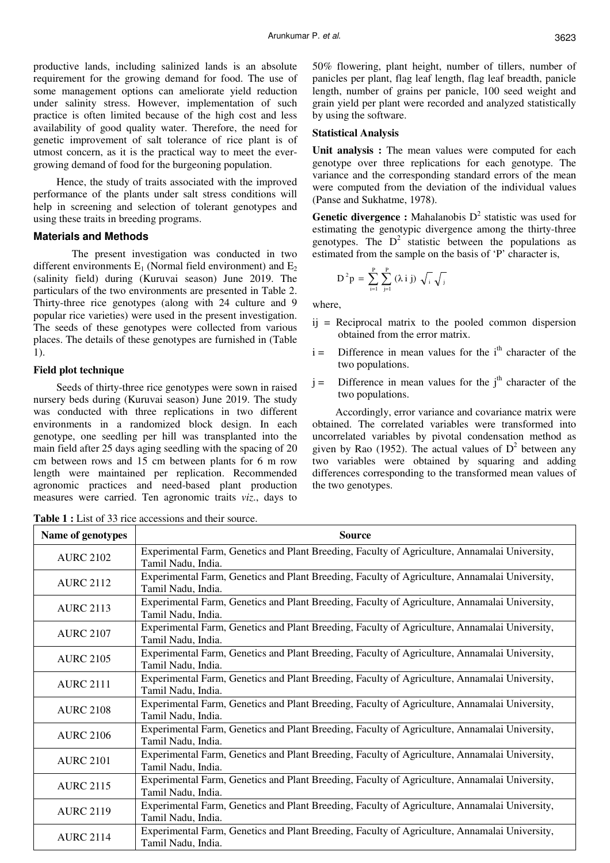productive lands, including salinized lands is an absolute requirement for the growing demand for food. The use of some management options can ameliorate yield reduction under salinity stress. However, implementation of such practice is often limited because of the high cost and less availability of good quality water. Therefore, the need for genetic improvement of salt tolerance of rice plant is of utmost concern, as it is the practical way to meet the evergrowing demand of food for the burgeoning population.

Hence, the study of traits associated with the improved performance of the plants under salt stress conditions will help in screening and selection of tolerant genotypes and using these traits in breeding programs.

### **Materials and Methods**

The present investigation was conducted in two different environments  $E_1$  (Normal field environment) and  $E_2$ (salinity field) during (Kuruvai season) June 2019. The particulars of the two environments are presented in Table 2. Thirty-three rice genotypes (along with 24 culture and 9 popular rice varieties) were used in the present investigation. The seeds of these genotypes were collected from various places. The details of these genotypes are furnished in (Table 1).

#### **Field plot technique**

Seeds of thirty-three rice genotypes were sown in raised nursery beds during (Kuruvai season) June 2019. The study was conducted with three replications in two different environments in a randomized block design. In each genotype, one seedling per hill was transplanted into the main field after 25 days aging seedling with the spacing of 20 cm between rows and 15 cm between plants for 6 m row length were maintained per replication. Recommended agronomic practices and need-based plant production measures were carried. Ten agronomic traits *viz*., days to

50% flowering, plant height, number of tillers, number of panicles per plant, flag leaf length, flag leaf breadth, panicle length, number of grains per panicle, 100 seed weight and grain yield per plant were recorded and analyzed statistically by using the software.

# **Statistical Analysis**

**Unit analysis :** The mean values were computed for each genotype over three replications for each genotype. The variance and the corresponding standard errors of the mean were computed from the deviation of the individual values (Panse and Sukhatme, 1978).

**Genetic divergence :** Mahalanobis  $D^2$  statistic was used for estimating the genotypic divergence among the thirty-three genotypes. The  $D^2$  statistic between the populations as estimated from the sample on the basis of 'P' character is,

$$
D^2 p = \sum_{i=1}^P \sum_{j=1}^P (\lambda i j) \sqrt{i} \sqrt{j}
$$

where,

- $i$  = Reciprocal matrix to the pooled common dispersion obtained from the error matrix.
- $i =$  Difference in mean values for the  $i<sup>th</sup>$  character of the two populations.
- $j =$  Difference in mean values for the j<sup>th</sup> character of the two populations.

Accordingly, error variance and covariance matrix were obtained. The correlated variables were transformed into uncorrelated variables by pivotal condensation method as given by Rao (1952). The actual values of  $D^2$  between any two variables were obtained by squaring and adding differences corresponding to the transformed mean values of the two genotypes.

**Table 1 :** List of 33 rice accessions and their source.

| Name of genotypes | Source                                                                                                              |
|-------------------|---------------------------------------------------------------------------------------------------------------------|
| <b>AURC 2102</b>  | Experimental Farm, Genetics and Plant Breeding, Faculty of Agriculture, Annamalai University,<br>Tamil Nadu, India. |
| <b>AURC 2112</b>  | Experimental Farm, Genetics and Plant Breeding, Faculty of Agriculture, Annamalai University,<br>Tamil Nadu, India. |
| <b>AURC 2113</b>  | Experimental Farm, Genetics and Plant Breeding, Faculty of Agriculture, Annamalai University,<br>Tamil Nadu, India. |
| <b>AURC 2107</b>  | Experimental Farm, Genetics and Plant Breeding, Faculty of Agriculture, Annamalai University,<br>Tamil Nadu, India. |
| <b>AURC 2105</b>  | Experimental Farm, Genetics and Plant Breeding, Faculty of Agriculture, Annamalai University,<br>Tamil Nadu, India. |
| <b>AURC 2111</b>  | Experimental Farm, Genetics and Plant Breeding, Faculty of Agriculture, Annamalai University,<br>Tamil Nadu, India. |
| <b>AURC 2108</b>  | Experimental Farm, Genetics and Plant Breeding, Faculty of Agriculture, Annamalai University,<br>Tamil Nadu, India. |
| <b>AURC 2106</b>  | Experimental Farm, Genetics and Plant Breeding, Faculty of Agriculture, Annamalai University,<br>Tamil Nadu, India. |
| <b>AURC 2101</b>  | Experimental Farm, Genetics and Plant Breeding, Faculty of Agriculture, Annamalai University,<br>Tamil Nadu, India. |
| <b>AURC 2115</b>  | Experimental Farm, Genetics and Plant Breeding, Faculty of Agriculture, Annamalai University,<br>Tamil Nadu, India. |
| <b>AURC 2119</b>  | Experimental Farm, Genetics and Plant Breeding, Faculty of Agriculture, Annamalai University,<br>Tamil Nadu, India. |
| <b>AURC 2114</b>  | Experimental Farm, Genetics and Plant Breeding, Faculty of Agriculture, Annamalai University,<br>Tamil Nadu, India. |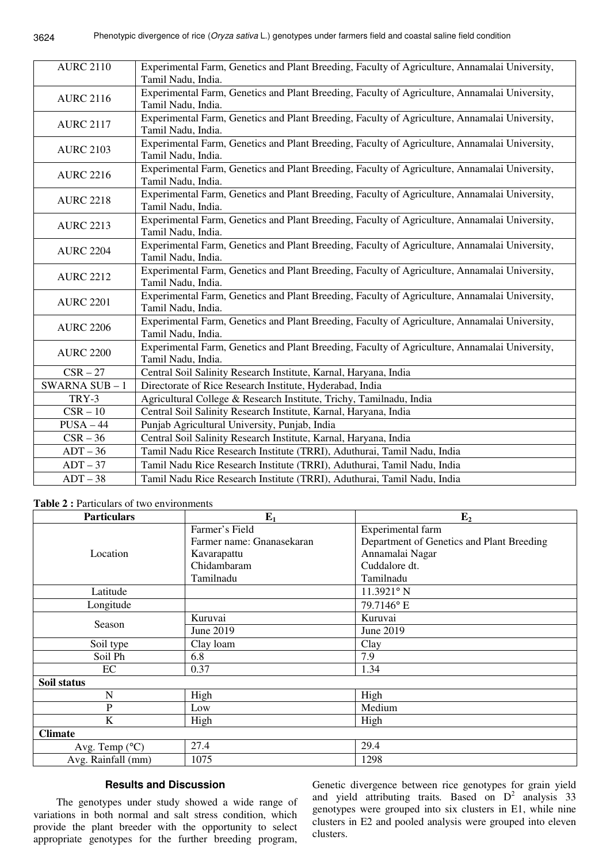| <b>AURC 2110</b>    | Experimental Farm, Genetics and Plant Breeding, Faculty of Agriculture, Annamalai University,<br>Tamil Nadu, India. |
|---------------------|---------------------------------------------------------------------------------------------------------------------|
| <b>AURC 2116</b>    | Experimental Farm, Genetics and Plant Breeding, Faculty of Agriculture, Annamalai University,<br>Tamil Nadu, India. |
| <b>AURC 2117</b>    | Experimental Farm, Genetics and Plant Breeding, Faculty of Agriculture, Annamalai University,<br>Tamil Nadu, India. |
| <b>AURC 2103</b>    | Experimental Farm, Genetics and Plant Breeding, Faculty of Agriculture, Annamalai University,<br>Tamil Nadu, India. |
| <b>AURC 2216</b>    | Experimental Farm, Genetics and Plant Breeding, Faculty of Agriculture, Annamalai University,<br>Tamil Nadu, India. |
| <b>AURC 2218</b>    | Experimental Farm, Genetics and Plant Breeding, Faculty of Agriculture, Annamalai University,<br>Tamil Nadu, India. |
| <b>AURC 2213</b>    | Experimental Farm, Genetics and Plant Breeding, Faculty of Agriculture, Annamalai University,<br>Tamil Nadu, India. |
| <b>AURC 2204</b>    | Experimental Farm, Genetics and Plant Breeding, Faculty of Agriculture, Annamalai University,<br>Tamil Nadu, India. |
| <b>AURC 2212</b>    | Experimental Farm, Genetics and Plant Breeding, Faculty of Agriculture, Annamalai University,<br>Tamil Nadu, India. |
| <b>AURC 2201</b>    | Experimental Farm, Genetics and Plant Breeding, Faculty of Agriculture, Annamalai University,<br>Tamil Nadu, India. |
| <b>AURC 2206</b>    | Experimental Farm, Genetics and Plant Breeding, Faculty of Agriculture, Annamalai University,<br>Tamil Nadu, India. |
| <b>AURC 2200</b>    | Experimental Farm, Genetics and Plant Breeding, Faculty of Agriculture, Annamalai University,<br>Tamil Nadu, India. |
| $CSR-27$            | Central Soil Salinity Research Institute, Karnal, Haryana, India                                                    |
| <b>SWARNA SUB-1</b> | Directorate of Rice Research Institute, Hyderabad, India                                                            |
| TRY-3               | Agricultural College & Research Institute, Trichy, Tamilnadu, India                                                 |
| $CSR-10$            | Central Soil Salinity Research Institute, Karnal, Haryana, India                                                    |
| $PUSA - 44$         | Punjab Agricultural University, Punjab, India                                                                       |
| $CSR-36$            | Central Soil Salinity Research Institute, Karnal, Haryana, India                                                    |
| $ADT - 36$          | Tamil Nadu Rice Research Institute (TRRI), Aduthurai, Tamil Nadu, India                                             |
| $ADT - 37$          | Tamil Nadu Rice Research Institute (TRRI), Aduthurai, Tamil Nadu, India                                             |
| $ADT - 38$          | Tamil Nadu Rice Research Institute (TRRI), Aduthurai, Tamil Nadu, India                                             |

**Table 2 :** Particulars of two environments

| <b>Particulars</b>      | $E_1$                     | E <sub>2</sub>                            |
|-------------------------|---------------------------|-------------------------------------------|
|                         | Farmer's Field            | Experimental farm                         |
|                         | Farmer name: Gnanasekaran | Department of Genetics and Plant Breeding |
| Location                | Kavarapattu               | Annamalai Nagar                           |
|                         | Chidambaram               | Cuddalore dt.                             |
|                         | Tamilnadu                 | Tamilnadu                                 |
| Latitude                |                           | 11.3921° N                                |
| Longitude               |                           | 79.7146°E                                 |
| Season                  | Kuruvai                   | Kuruvai                                   |
|                         | June 2019                 | June 2019                                 |
| Soil type               | Clay loam                 | Clay                                      |
| Soil Ph                 | 6.8                       | 7.9                                       |
| EC                      | 0.37                      | 1.34                                      |
| Soil status             |                           |                                           |
| N                       | High                      | High                                      |
| ${\bf P}$               | Low                       | Medium                                    |
| K                       | High                      | High                                      |
| <b>Climate</b>          |                           |                                           |
| Avg. Temp $(^{\circ}C)$ | 27.4                      | 29.4                                      |
| Avg. Rainfall (mm)      | 1075                      | 1298                                      |

# **Results and Discussion**

The genotypes under study showed a wide range of variations in both normal and salt stress condition, which provide the plant breeder with the opportunity to select appropriate genotypes for the further breeding program,

Genetic divergence between rice genotypes for grain yield and yield attributing traits. Based on  $D^2$  analysis 33 genotypes were grouped into six clusters in E1, while nine clusters in E2 and pooled analysis were grouped into eleven clusters.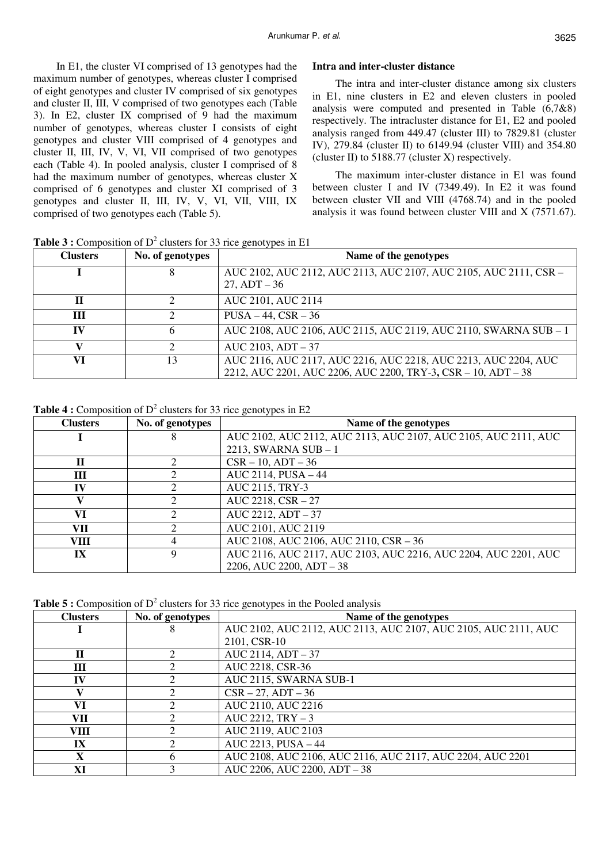In E1, the cluster VI comprised of 13 genotypes had the maximum number of genotypes, whereas cluster I comprised of eight genotypes and cluster IV comprised of six genotypes and cluster II, III, V comprised of two genotypes each (Table 3). In E2, cluster IX comprised of 9 had the maximum number of genotypes, whereas cluster I consists of eight genotypes and cluster VIII comprised of 4 genotypes and cluster II, III, IV, V, VI, VII comprised of two genotypes each (Table 4). In pooled analysis, cluster I comprised of 8 had the maximum number of genotypes, whereas cluster X comprised of 6 genotypes and cluster XI comprised of 3 genotypes and cluster II, III, IV, V, VI, VII, VIII, IX comprised of two genotypes each (Table 5).

## **Intra and inter-cluster distance**

The intra and inter-cluster distance among six clusters in E1, nine clusters in E2 and eleven clusters in pooled analysis were computed and presented in Table (6,7&8) respectively. The intracluster distance for E1, E2 and pooled analysis ranged from 449.47 (cluster III) to 7829.81 (cluster IV), 279.84 (cluster II) to 6149.94 (cluster VIII) and 354.80 (cluster II) to  $5188.77$  (cluster X) respectively.

The maximum inter-cluster distance in E1 was found between cluster I and IV (7349.49). In E2 it was found between cluster VII and VIII (4768.74) and in the pooled analysis it was found between cluster VIII and X (7571.67).

**Clusters No. of genotypes Name of the genotypes I** 8 AUC 2102, AUC 2112, AUC 2113, AUC 2107, AUC 2105, AUC 2111, CSR – 27, ADT – 36 **II** 2 AUC 2101, AUC 2114 **III**  $2$  PUSA – 44, CSR – 36 **IV** 6 AUC 2108, AUC 2106, AUC 2115, AUC 2119, AUC 2110, SWARNA SUB – 1 **V** 2 AUC 2103, ADT – 37 **VI** 13 AUC 2116, AUC 2117, AUC 2216, AUC 2218, AUC 2213, AUC 2204, AUC 2212, AUC 2201, AUC 2206, AUC 2200, TRY-3**,** CSR – 10, ADT – 38

**Table 3 :** Composition of  $D^2$  clusters for 33 rice genotypes in E1

**Table 4 :** Composition of  $D^2$  clusters for 33 rice genotypes in E2

| <b>Clusters</b> | No. of genotypes | Name of the genotypes                                           |
|-----------------|------------------|-----------------------------------------------------------------|
|                 |                  | AUC 2102, AUC 2112, AUC 2113, AUC 2107, AUC 2105, AUC 2111, AUC |
|                 |                  | 2213, SWARNA SUB $-1$                                           |
| $\mathbf H$     |                  | $CSR - 10$ , $ADT - 36$                                         |
| Ш               |                  | AUC 2114, PUSA - 44                                             |
| IV              |                  | AUC 2115, TRY-3                                                 |
|                 |                  | AUC 2218, CSR - 27                                              |
| VI              |                  | AUC 2212, ADT - 37                                              |
| VII             |                  | AUC 2101, AUC 2119                                              |
| <b>VIII</b>     | 4                | AUC 2108, AUC 2106, AUC 2110, CSR - 36                          |
| IX              | Q                | AUC 2116, AUC 2117, AUC 2103, AUC 2216, AUC 2204, AUC 2201, AUC |
|                 |                  | 2206, AUC 2200, ADT $-38$                                       |

**Table 5 :** Composition of  $D^2$  clusters for 33 rice genotypes in the Pooled analysis

| <b>Clusters</b> | No. of genotypes | ╯<br>Name of the genotypes                                      |
|-----------------|------------------|-----------------------------------------------------------------|
|                 | 8                | AUC 2102, AUC 2112, AUC 2113, AUC 2107, AUC 2105, AUC 2111, AUC |
|                 |                  | 2101, CSR-10                                                    |
| $\mathbf H$     |                  | AUC 2114, ADT - 37                                              |
| Ш               |                  | AUC 2218, CSR-36                                                |
| IV              |                  | AUC 2115, SWARNA SUB-1                                          |
| v               |                  | $CSR - 27, ADT - 36$                                            |
| VI              |                  | AUC 2110, AUC 2216                                              |
| VII             |                  | $AUC 2212, TRY - 3$                                             |
| <b>VIII</b>     |                  | AUC 2119, AUC 2103                                              |
| IX              |                  | AUC 2213, PUSA - 44                                             |
| X               | h                | AUC 2108, AUC 2106, AUC 2116, AUC 2117, AUC 2204, AUC 2201      |
| XI              |                  | AUC 2206, AUC 2200, ADT - 38                                    |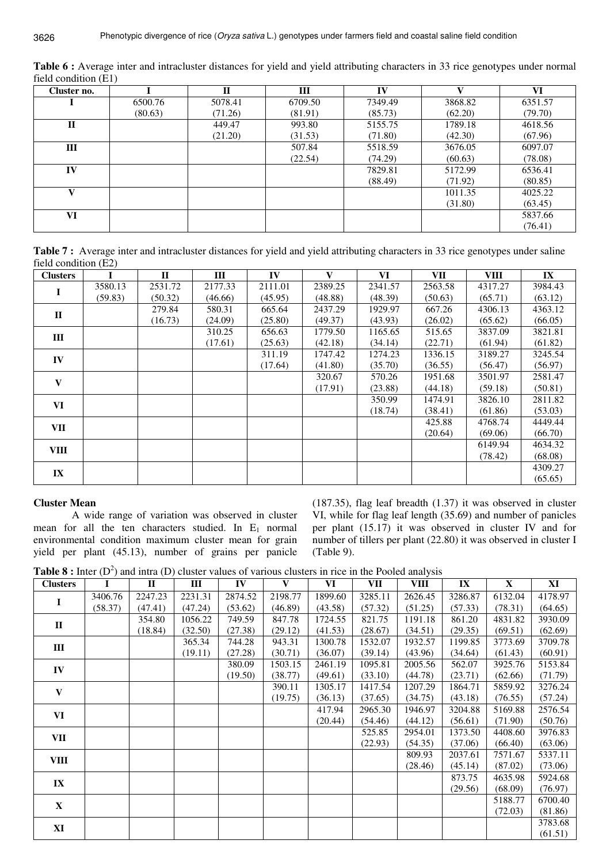| Cluster no.  |         | $\mathbf{I}$ | Ш       | IV      |         | VI      |
|--------------|---------|--------------|---------|---------|---------|---------|
|              | 6500.76 | 5078.41      | 6709.50 | 7349.49 | 3868.82 | 6351.57 |
|              | (80.63) | (71.26)      | (81.91) | (85.73) | (62.20) | (79.70) |
| $\mathbf{I}$ |         | 449.47       | 993.80  | 5155.75 | 1789.18 | 4618.56 |
|              |         | (21.20)      | (31.53) | (71.80) | (42.30) | (67.96) |
| Ш            |         |              | 507.84  | 5518.59 | 3676.05 | 6097.07 |
|              |         |              | (22.54) | (74.29) | (60.63) | (78.08) |
| IV           |         |              |         | 7829.81 | 5172.99 | 6536.41 |
|              |         |              |         | (88.49) | (71.92) | (80.85) |
| v            |         |              |         |         | 1011.35 | 4025.22 |
|              |         |              |         |         | (31.80) | (63.45) |
| VI           |         |              |         |         |         | 5837.66 |
|              |         |              |         |         |         | (76.41) |

**Table 6 :** Average inter and intracluster distances for yield and yield attributing characters in 33 rice genotypes under normal field condition (E1)

**Table 7 :** Average inter and intracluster distances for yield and yield attributing characters in 33 rice genotypes under saline field condition (E2)

| <b>Clusters</b>         |         | $\mathbf{I}$ | III     | IV      | $\mathbf{V}$ | VI      | VII     | <b>VIII</b> | IX      |
|-------------------------|---------|--------------|---------|---------|--------------|---------|---------|-------------|---------|
|                         | 3580.13 | 2531.72      | 2177.33 | 2111.01 | 2389.25      | 2341.57 | 2563.58 | 4317.27     | 3984.43 |
| -1                      | (59.83) | (50.32)      | (46.66) | (45.95) | (48.88)      | (48.39) | (50.63) | (65.71)     | (63.12) |
| $\mathbf{I}$            |         | 279.84       | 580.31  | 665.64  | 2437.29      | 1929.97 | 667.26  | 4306.13     | 4363.12 |
|                         |         | (16.73)      | (24.09) | (25.80) | (49.37)      | (43.93) | (26.02) | (65.62)     | (66.05) |
| $\mathbf{III}$          |         |              | 310.25  | 656.63  | 1779.50      | 1165.65 | 515.65  | 3837.09     | 3821.81 |
|                         |         |              | (17.61) | (25.63) | (42.18)      | (34.14) | (22.71) | (61.94)     | (61.82) |
| IV                      |         |              |         | 311.19  | 1747.42      | 1274.23 | 1336.15 | 3189.27     | 3245.54 |
|                         |         |              |         | (17.64) | (41.80)      | (35.70) | (36.55) | (56.47)     | (56.97) |
| $\mathbf{V}$            |         |              |         |         | 320.67       | 570.26  | 1951.68 | 3501.97     | 2581.47 |
|                         |         |              |         |         | (17.91)      | (23.88) | (44.18) | (59.18)     | (50.81) |
| VI                      |         |              |         |         |              | 350.99  | 1474.91 | 3826.10     | 2811.82 |
|                         |         |              |         |         |              | (18.74) | (38.41) | (61.86)     | (53.03) |
| VII                     |         |              |         |         |              |         | 425.88  | 4768.74     | 4449.44 |
|                         |         |              |         |         |              |         | (20.64) | (69.06)     | (66.70) |
| <b>VIII</b>             |         |              |         |         |              |         |         | 6149.94     | 4634.32 |
|                         |         |              |         |         |              |         |         | (78.42)     | (68.08) |
| $\mathbf{I} \mathbf{X}$ |         |              |         |         |              |         |         |             | 4309.27 |
|                         |         |              |         |         |              |         |         |             | (65.65) |

# **Cluster Mean**

 A wide range of variation was observed in cluster mean for all the ten characters studied. In  $E_1$  normal environmental condition maximum cluster mean for grain yield per plant (45.13), number of grains per panicle

(187.35), flag leaf breadth (1.37) it was observed in cluster VI, while for flag leaf length (35.69) and number of panicles per plant (15.17) it was observed in cluster IV and for number of tillers per plant (22.80) it was observed in cluster I (Table 9).

**Table 8 :** Inter  $(D^2)$  and intra  $(D)$  cluster values of various clusters in rice in the Pooled analysis

| <b>Clusters</b> | $\sim$ $\sim$<br>L | $-$<br>$\mathbf{I}$ | $\mathbf{III}$ | IV      | V       | VI      | VII     | ------ <i>_</i> _ ---<br><b>VIII</b> | IX      | $\mathbf{X}$ | XI      |
|-----------------|--------------------|---------------------|----------------|---------|---------|---------|---------|--------------------------------------|---------|--------------|---------|
| $\mathbf I$     | 3406.76            | 2247.23             | 2231.31        | 2874.52 | 2198.77 | 1899.60 | 3285.11 | 2626.45                              | 3286.87 | 6132.04      | 4178.97 |
|                 | (58.37)            | (47.41)             | (47.24)        | (53.62) | (46.89) | (43.58) | (57.32) | (51.25)                              | (57.33) | (78.31)      | (64.65) |
| $\mathbf{I}$    |                    | 354.80              | 1056.22        | 749.59  | 847.78  | 1724.55 | 821.75  | 1191.18                              | 861.20  | 4831.82      | 3930.09 |
|                 |                    | (18.84)             | (32.50)        | (27.38) | (29.12) | (41.53) | (28.67) | (34.51)                              | (29.35) | (69.51)      | (62.69) |
| Ш               |                    |                     | 365.34         | 744.28  | 943.31  | 1300.78 | 1532.07 | 1932.57                              | 1199.85 | 3773.69      | 3709.78 |
|                 |                    |                     | (19.11)        | (27.28) | (30.71) | (36.07) | (39.14) | (43.96)                              | (34.64) | (61.43)      | (60.91) |
| IV              |                    |                     |                | 380.09  | 1503.15 | 2461.19 | 1095.81 | 2005.56                              | 562.07  | 3925.76      | 5153.84 |
|                 |                    |                     |                | (19.50) | (38.77) | (49.61) | (33.10) | (44.78)                              | (23.71) | (62.66)      | (71.79) |
| $\mathbf{V}$    |                    |                     |                |         | 390.11  | 1305.17 | 1417.54 | 1207.29                              | 1864.71 | 5859.92      | 3276.24 |
|                 |                    |                     |                |         | (19.75) | (36.13) | (37.65) | (34.75)                              | (43.18) | (76.55)      | (57.24) |
| VI              |                    |                     |                |         |         | 417.94  | 2965.30 | 1946.97                              | 3204.88 | 5169.88      | 2576.54 |
|                 |                    |                     |                |         |         | (20.44) | (54.46) | (44.12)                              | (56.61) | (71.90)      | (50.76) |
| VII             |                    |                     |                |         |         |         | 525.85  | 2954.01                              | 1373.50 | 4408.60      | 3976.83 |
|                 |                    |                     |                |         |         |         | (22.93) | (54.35)                              | (37.06) | (66.40)      | (63.06) |
| VIII            |                    |                     |                |         |         |         |         | 809.93                               | 2037.61 | 7571.67      | 5337.11 |
|                 |                    |                     |                |         |         |         |         | (28.46)                              | (45.14) | (87.02)      | (73.06) |
| $\mathbf{IX}$   |                    |                     |                |         |         |         |         |                                      | 873.75  | 4635.98      | 5924.68 |
|                 |                    |                     |                |         |         |         |         |                                      | (29.56) | (68.09)      | (76.97) |
| $\mathbf X$     |                    |                     |                |         |         |         |         |                                      |         | 5188.77      | 6700.40 |
|                 |                    |                     |                |         |         |         |         |                                      |         | (72.03)      | (81.86) |
| XI              |                    |                     |                |         |         |         |         |                                      |         |              | 3783.68 |
|                 |                    |                     |                |         |         |         |         |                                      |         |              | (61.51) |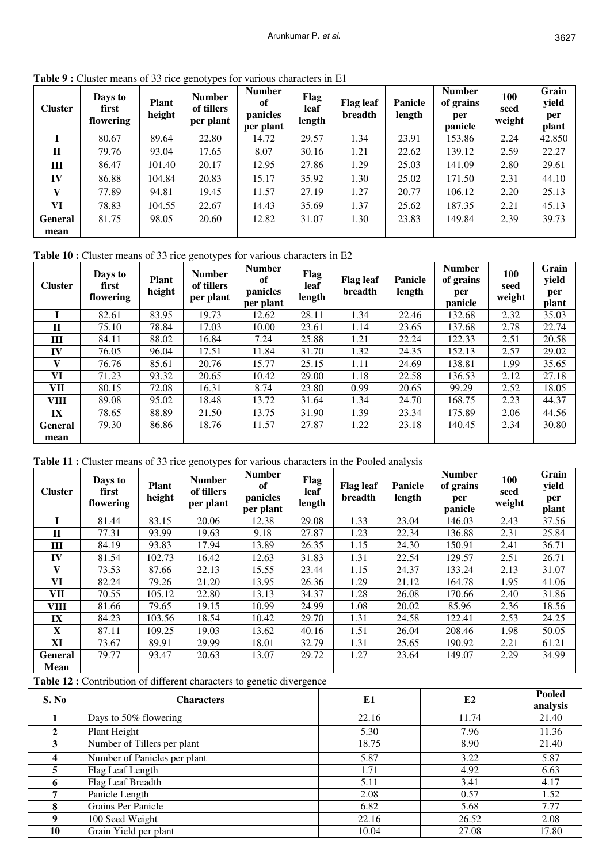| <b>Cluster</b> | <b>rapic</b> ): Cluster means of 33 rice generypes for various enaracters in ET<br>Days to<br>first<br>flowering | <b>Plant</b><br>height | <b>Number</b><br>of tillers<br>per plant | <b>Number</b><br>of<br>panicles<br>per plant | Flag<br>leaf<br>length | <b>Flag leaf</b><br>breadth | Panicle<br>length | <b>Number</b><br>of grains<br>per<br>panicle | 100<br>seed<br>weight | Grain<br>yield<br>per<br>plant |
|----------------|------------------------------------------------------------------------------------------------------------------|------------------------|------------------------------------------|----------------------------------------------|------------------------|-----------------------------|-------------------|----------------------------------------------|-----------------------|--------------------------------|
|                | 80.67                                                                                                            | 89.64                  | 22.80                                    | 14.72                                        | 29.57                  | 1.34                        | 23.91             | 153.86                                       | 2.24                  | 42.850                         |
| $\mathbf{H}$   | 79.76                                                                                                            | 93.04                  | 17.65                                    | 8.07                                         | 30.16                  | 1.21                        | 22.62             | 139.12                                       | 2.59                  | 22.27                          |
| Ш              | 86.47                                                                                                            | 101.40                 | 20.17                                    | 12.95                                        | 27.86                  | 1.29                        | 25.03             | 141.09                                       | 2.80                  | 29.61                          |
| IV             | 86.88                                                                                                            | 104.84                 | 20.83                                    | 15.17                                        | 35.92                  | 1.30                        | 25.02             | 171.50                                       | 2.31                  | 44.10                          |
| v              | 77.89                                                                                                            | 94.81                  | 19.45                                    | 11.57                                        | 27.19                  | 1.27                        | 20.77             | 106.12                                       | 2.20                  | 25.13                          |
| VI             | 78.83                                                                                                            | 104.55                 | 22.67                                    | 14.43                                        | 35.69                  | 1.37                        | 25.62             | 187.35                                       | 2.21                  | 45.13                          |
| <b>General</b> | 81.75                                                                                                            | 98.05                  | 20.60                                    | 12.82                                        | 31.07                  | 1.30                        | 23.83             | 149.84                                       | 2.39                  | 39.73                          |
| mean           |                                                                                                                  |                        |                                          |                                              |                        |                             |                   |                                              |                       |                                |

**Table 9 :** Cluster means of 33 rice genotypes for various characters in E1

**Table 10 :** Cluster means of 33 rice genotypes for various characters in E2

| <b>Cluster</b> | Days to<br>first<br>flowering | <b>Plant</b><br>height | <b>Number</b><br>of tillers<br>per plant | <b>Number</b><br>of<br>panicles<br>per plant | Flag<br>leaf<br>length | <b>Flag leaf</b><br>breadth | <b>Panicle</b><br>length | <b>Number</b><br>of grains<br>per<br>panicle | 100<br>seed<br>weight | Grain<br>yield<br>per<br>plant |
|----------------|-------------------------------|------------------------|------------------------------------------|----------------------------------------------|------------------------|-----------------------------|--------------------------|----------------------------------------------|-----------------------|--------------------------------|
|                | 82.61                         | 83.95                  | 19.73                                    | 12.62                                        | 28.11                  | 1.34                        | 22.46                    | 132.68                                       | 2.32                  | 35.03                          |
| $\mathbf{I}$   | 75.10                         | 78.84                  | 17.03                                    | 10.00                                        | 23.61                  | 1.14                        | 23.65                    | 137.68                                       | 2.78                  | 22.74                          |
| Ш              | 84.11                         | 88.02                  | 16.84                                    | 7.24                                         | 25.88                  | 1.21                        | 22.24                    | 122.33                                       | 2.51                  | 20.58                          |
| IV             | 76.05                         | 96.04                  | 17.51                                    | 11.84                                        | 31.70                  | 1.32                        | 24.35                    | 152.13                                       | 2.57                  | 29.02                          |
| $\mathbf{V}$   | 76.76                         | 85.61                  | 20.76                                    | 15.77                                        | 25.15                  | 1.11                        | 24.69                    | 138.81                                       | 1.99                  | 35.65                          |
| VI             | 71.23                         | 93.32                  | 20.65                                    | 10.42                                        | 29.00                  | 1.18                        | 22.58                    | 136.53                                       | 2.12                  | 27.18                          |
| VII            | 80.15                         | 72.08                  | 16.31                                    | 8.74                                         | 23.80                  | 0.99                        | 20.65                    | 99.29                                        | 2.52                  | 18.05                          |
| <b>VIII</b>    | 89.08                         | 95.02                  | 18.48                                    | 13.72                                        | 31.64                  | 1.34                        | 24.70                    | 168.75                                       | 2.23                  | 44.37                          |
| IX             | 78.65                         | 88.89                  | 21.50                                    | 13.75                                        | 31.90                  | 1.39                        | 23.34                    | 175.89                                       | 2.06                  | 44.56                          |
| <b>General</b> | 79.30                         | 86.86                  | 18.76                                    | 11.57                                        | 27.87                  | 1.22                        | 23.18                    | 140.45                                       | 2.34                  | 30.80                          |
| mean           |                               |                        |                                          |                                              |                        |                             |                          |                                              |                       |                                |

|  |  | Table 11 : Cluster means of 33 rice genotypes for various characters in the Pooled analysis |
|--|--|---------------------------------------------------------------------------------------------|
|  |  |                                                                                             |

| <b>Cluster</b> | Days to<br>first<br>flowering | <b>Plant</b><br>height | <b>Number</b><br>of tillers<br>per plant | <b>Number</b><br>of<br>panicles<br>per plant | Flag<br>leaf<br>length | <b>Flag leaf</b><br>breadth | Panicle<br>length | <b>Number</b><br>of grains<br>per<br>panicle | 100<br>seed<br>weight | Grain<br>yield<br>per<br>plant |
|----------------|-------------------------------|------------------------|------------------------------------------|----------------------------------------------|------------------------|-----------------------------|-------------------|----------------------------------------------|-----------------------|--------------------------------|
|                | 81.44                         | 83.15                  | 20.06                                    | 12.38                                        | 29.08                  | 1.33                        | 23.04             | 146.03                                       | 2.43                  | 37.56                          |
| П              | 77.31                         | 93.99                  | 19.63                                    | 9.18                                         | 27.87                  | 1.23                        | 22.34             | 136.88                                       | 2.31                  | 25.84                          |
| Ш              | 84.19                         | 93.83                  | 17.94                                    | 13.89                                        | 26.35                  | 1.15                        | 24.30             | 150.91                                       | 2.41                  | 36.71                          |
| IV             | 81.54                         | 102.73                 | 16.42                                    | 12.63                                        | 31.83                  | 1.31                        | 22.54             | 129.57                                       | 2.51                  | 26.71                          |
| $\mathbf{V}$   | 73.53                         | 87.66                  | 22.13                                    | 15.55                                        | 23.44                  | 1.15                        | 24.37             | 133.24                                       | 2.13                  | 31.07                          |
| VI             | 82.24                         | 79.26                  | 21.20                                    | 13.95                                        | 26.36                  | 1.29                        | 21.12             | 164.78                                       | 1.95                  | 41.06                          |
| VII            | 70.55                         | 105.12                 | 22.80                                    | 13.13                                        | 34.37                  | 1.28                        | 26.08             | 170.66                                       | 2.40                  | 31.86                          |
| VIII           | 81.66                         | 79.65                  | 19.15                                    | 10.99                                        | 24.99                  | 1.08                        | 20.02             | 85.96                                        | 2.36                  | 18.56                          |
| IX             | 84.23                         | 103.56                 | 18.54                                    | 10.42                                        | 29.70                  | 1.31                        | 24.58             | 122.41                                       | 2.53                  | 24.25                          |
| $\mathbf X$    | 87.11                         | 109.25                 | 19.03                                    | 13.62                                        | 40.16                  | 1.51                        | 26.04             | 208.46                                       | 1.98                  | 50.05                          |
| XI             | 73.67                         | 89.91                  | 29.99                                    | 18.01                                        | 32.79                  | 1.31                        | 25.65             | 190.92                                       | 2.21                  | 61.21                          |
| <b>General</b> | 79.77                         | 93.47                  | 20.63                                    | 13.07                                        | 29.72                  | 1.27                        | 23.64             | 149.07                                       | 2.29                  | 34.99                          |
| Mean           |                               |                        |                                          |                                              |                        |                             |                   |                                              |                       |                                |

**Table 12 :** Contribution of different characters to genetic divergence

| S. No | <b>Characters</b>            | E1    | E2    | Pooled<br>analysis |
|-------|------------------------------|-------|-------|--------------------|
|       | Days to 50% flowering        | 22.16 | 11.74 | 21.40              |
|       | Plant Height                 | 5.30  | 7.96  | 11.36              |
| 3     | Number of Tillers per plant  | 18.75 | 8.90  | 21.40              |
|       | Number of Panicles per plant | 5.87  | 3.22  | 5.87               |
|       | Flag Leaf Length             | 1.71  | 4.92  | 6.63               |
| 6     | Flag Leaf Breadth            | 5.11  | 3.41  | 4.17               |
|       | Panicle Length               | 2.08  | 0.57  | 1.52               |
| 8     | Grains Per Panicle           | 6.82  | 5.68  | 7.77               |
| 9     | 100 Seed Weight              | 22.16 | 26.52 | 2.08               |
| 10    | Grain Yield per plant        | 10.04 | 27.08 | 17.80              |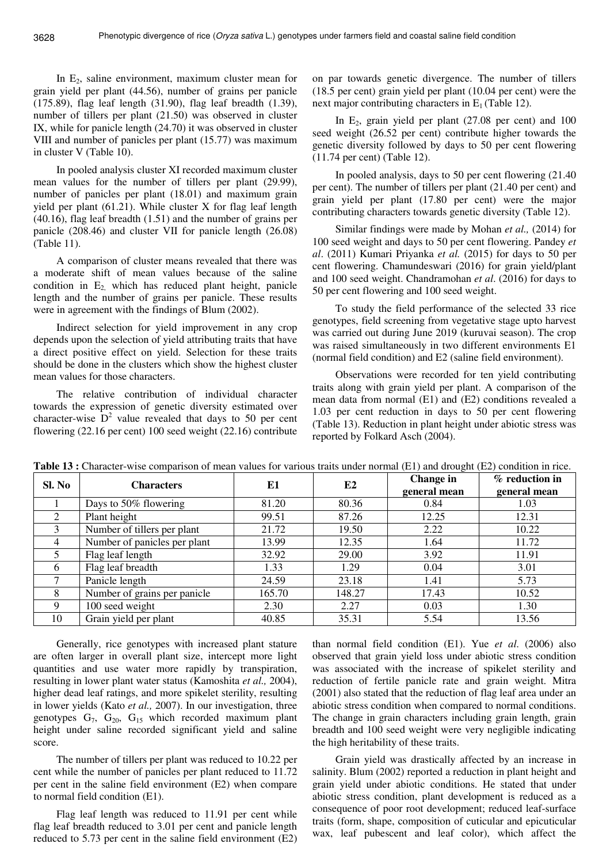In  $E_2$ , saline environment, maximum cluster mean for grain yield per plant (44.56), number of grains per panicle (175.89), flag leaf length (31.90), flag leaf breadth (1.39), number of tillers per plant (21.50) was observed in cluster IX, while for panicle length (24.70) it was observed in cluster VIII and number of panicles per plant (15.77) was maximum in cluster V (Table 10).

In pooled analysis cluster XI recorded maximum cluster mean values for the number of tillers per plant (29.99), number of panicles per plant (18.01) and maximum grain yield per plant (61.21). While cluster X for flag leaf length (40.16), flag leaf breadth (1.51) and the number of grains per panicle (208.46) and cluster VII for panicle length (26.08) (Table 11).

A comparison of cluster means revealed that there was a moderate shift of mean values because of the saline condition in  $E_2$ , which has reduced plant height, panicle length and the number of grains per panicle. These results were in agreement with the findings of Blum (2002).

Indirect selection for yield improvement in any crop depends upon the selection of yield attributing traits that have a direct positive effect on yield. Selection for these traits should be done in the clusters which show the highest cluster mean values for those characters.

The relative contribution of individual character towards the expression of genetic diversity estimated over character-wise  $D^2$  value revealed that days to 50 per cent flowering (22.16 per cent) 100 seed weight (22.16) contribute

on par towards genetic divergence. The number of tillers (18.5 per cent) grain yield per plant (10.04 per cent) were the next major contributing characters in  $E_1$  (Table 12).

In  $E_2$ , grain yield per plant (27.08 per cent) and 100 seed weight (26.52 per cent) contribute higher towards the genetic diversity followed by days to 50 per cent flowering (11.74 per cent) (Table 12).

In pooled analysis, days to 50 per cent flowering (21.40 per cent). The number of tillers per plant (21.40 per cent) and grain yield per plant (17.80 per cent) were the major contributing characters towards genetic diversity (Table 12).

Similar findings were made by Mohan *et al.,* (2014) for 100 seed weight and days to 50 per cent flowering. Pandey *et al*. (2011) Kumari Priyanka *et al.* (2015) for days to 50 per cent flowering. Chamundeswari (2016) for grain yield/plant and 100 seed weight. Chandramohan *et al*. (2016) for days to 50 per cent flowering and 100 seed weight.

To study the field performance of the selected 33 rice genotypes, field screening from vegetative stage upto harvest was carried out during June 2019 (kuruvai season). The crop was raised simultaneously in two different environments E1 (normal field condition) and E2 (saline field environment).

Observations were recorded for ten yield contributing traits along with grain yield per plant. A comparison of the mean data from normal (E1) and (E2) conditions revealed a 1.03 per cent reduction in days to 50 per cent flowering (Table 13). Reduction in plant height under abiotic stress was reported by Folkard Asch (2004).

| Sl. No         | <b>Characters</b>            | E1     | E2     | Change in<br>general mean | $%$ reduction in<br>general mean |
|----------------|------------------------------|--------|--------|---------------------------|----------------------------------|
|                | Days to 50% flowering        | 81.20  | 80.36  | 0.84                      | 1.03                             |
| $\overline{2}$ | Plant height                 | 99.51  | 87.26  | 12.25                     | 12.31                            |
| 3              | Number of tillers per plant  | 21.72  | 19.50  | 2.22                      | 10.22                            |
| 4              | Number of panicles per plant | 13.99  | 12.35  | 1.64                      | 11.72                            |
| 5              | Flag leaf length             | 32.92  | 29.00  | 3.92                      | 11.91                            |
| 6              | Flag leaf breadth            | 1.33   | 1.29   | 0.04                      | 3.01                             |
| 7              | Panicle length               | 24.59  | 23.18  | 1.41                      | 5.73                             |
| 8              | Number of grains per panicle | 165.70 | 148.27 | 17.43                     | 10.52                            |
| 9              | 100 seed weight              | 2.30   | 2.27   | 0.03                      | 1.30                             |
| 10             | Grain yield per plant        | 40.85  | 35.31  | 5.54                      | 13.56                            |

**Table 13 :** Character-wise comparison of mean values for various traits under normal (E1) and drought (E2) condition in rice.

Generally, rice genotypes with increased plant stature are often larger in overall plant size, intercept more light quantities and use water more rapidly by transpiration, resulting in lower plant water status (Kamoshita *et al.,* 2004), higher dead leaf ratings, and more spikelet sterility, resulting in lower yields (Kato *et al.,* 2007). In our investigation, three genotypes  $G_7$ ,  $G_{20}$ ,  $G_{15}$  which recorded maximum plant height under saline recorded significant yield and saline score.

The number of tillers per plant was reduced to 10.22 per cent while the number of panicles per plant reduced to 11.72 per cent in the saline field environment (E2) when compare to normal field condition (E1).

Flag leaf length was reduced to 11.91 per cent while flag leaf breadth reduced to 3.01 per cent and panicle length reduced to 5.73 per cent in the saline field environment (E2)

than normal field condition (E1). Yue *et al*. (2006) also observed that grain yield loss under abiotic stress condition was associated with the increase of spikelet sterility and reduction of fertile panicle rate and grain weight. Mitra (2001) also stated that the reduction of flag leaf area under an abiotic stress condition when compared to normal conditions. The change in grain characters including grain length, grain breadth and 100 seed weight were very negligible indicating the high heritability of these traits.

Grain yield was drastically affected by an increase in salinity. Blum (2002) reported a reduction in plant height and grain yield under abiotic conditions. He stated that under abiotic stress condition, plant development is reduced as a consequence of poor root development; reduced leaf-surface traits (form, shape, composition of cuticular and epicuticular wax, leaf pubescent and leaf color), which affect the